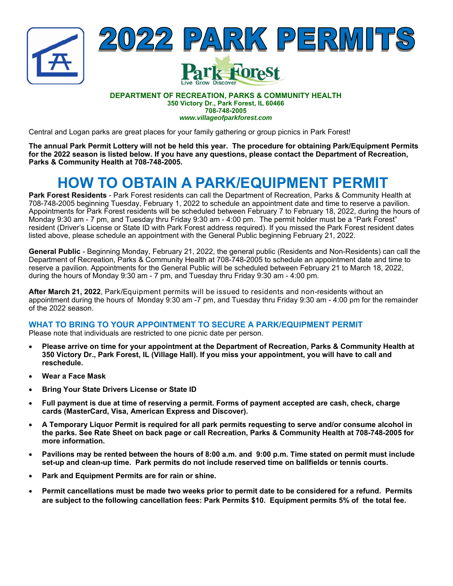



#### **DEPARTMENT OF RECREATION, PARKS & COMMUNITY HEALTH 350 Victory Dr., Park Forest, IL 60466 708-748-2005**  *www.villageofparkforest.com*

Central and Logan parks are great places for your family gathering or group picnics in Park Forest!

**The annual Park Permit Lottery will not be held this year. The procedure for obtaining Park/Equipment Permits for the 2022 season is listed below. If you have any questions, please contact the Department of Recreation, Parks & Community Health at 708-748-2005.** 

# **HOW TO OBTAIN A PARK/EQUIPMENT PERMIT**

**Park Forest Residents** - Park Forest residents can call the Department of Recreation, Parks & Community Health at 708-748-2005 beginning Tuesday, February 1, 2022 to schedule an appointment date and time to reserve a pavilion. Appointments for Park Forest residents will be scheduled between February 7 to February 18, 2022, during the hours of Monday 9:30 am - 7 pm, and Tuesday thru Friday 9:30 am - 4:00 pm. The permit holder must be a "Park Forest" resident (Driver's License or State ID with Park Forest address required). If you missed the Park Forest resident dates listed above, please schedule an appointment with the General Public beginning February 21, 2022.

**General Public** - Beginning Monday, February 21, 2022, the general public (Residents and Non-Residents) can call the Department of Recreation, Parks & Community Health at 708-748-2005 to schedule an appointment date and time to reserve a pavilion. Appointments for the General Public will be scheduled between February 21 to March 18, 2022, during the hours of Monday 9:30 am - 7 pm, and Tuesday thru Friday 9:30 am - 4:00 pm.

**After March 21, 2022**, Park/Equipment permits will be issued to residents and non-residents without an appointment during the hours of Monday 9:30 am -7 pm, and Tuesday thru Friday 9:30 am - 4:00 pm for the remainder of the 2022 season.

## **WHAT TO BRING TO YOUR APPOINTMENT TO SECURE A PARK/EQUIPMENT PERMIT**

Please note that individuals are restricted to one picnic date per person.

- **Please arrive on time for your appointment at the Department of Recreation, Parks & Community Health at 350 Victory Dr., Park Forest, IL (Village Hall). If you miss your appointment, you will have to call and reschedule.**
- **Wear a Face Mask**
- **Bring Your State Drivers License or State ID**
- **Full payment is due at time of reserving a permit. Forms of payment accepted are cash, check, charge cards (MasterCard, Visa, American Express and Discover).**
- **A Temporary Liquor Permit is required for all park permits requesting to serve and/or consume alcohol in the parks. See Rate Sheet on back page or call Recreation, Parks & Community Health at 708-748-2005 for more information.**
- **Pavilions may be rented between the hours of 8:00 a.m. and 9:00 p.m. Time stated on permit must include set-up and clean-up time. Park permits do not include reserved time on ballfields or tennis courts.**
- **Park and Equipment Permits are for rain or shine.**
- **Permit cancellations must be made two weeks prior to permit date to be considered for a refund. Permits are subject to the following cancellation fees: Park Permits \$10. Equipment permits 5% of the total fee.**